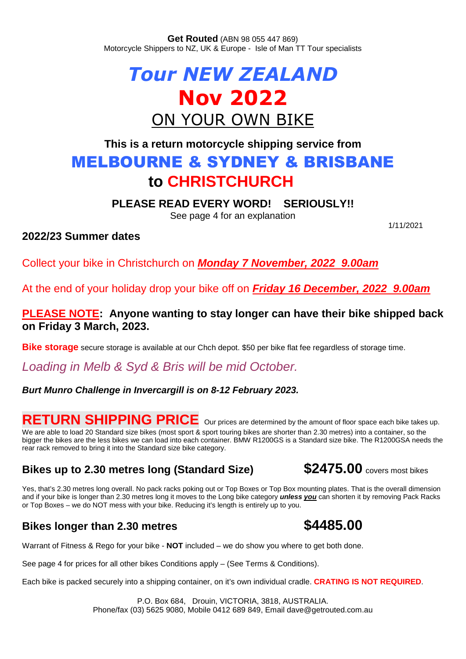**Get Routed** (ABN 98 055 447 869) Motorcycle Shippers to NZ, UK & Europe - Isle of Man TT Tour specialists

# *Tour NEW ZEALAND* **Nov 2022** ON YOUR OWN BIKE

# **This is a return motorcycle shipping service from** MELBOURNE & SYDNEY & BRISBANE **to CHRISTCHURCH**

**PLEASE READ EVERY WORD! SERIOUSLY!!**

See page 4 for an explanation

### **2022/23 Summer dates**

1/11/2021

Collect your bike in Christchurch on *Monday 7 November, 2022 9.00am*

At the end of your holiday drop your bike off on *Friday 16 December, 2022 9.00am*

### **PLEASE NOTE: Anyone wanting to stay longer can have their bike shipped back on Friday 3 March, 2023.**

**Bike storage** secure storage is available at our Chch depot. \$50 per bike flat fee regardless of storage time.

*Loading in Melb & Syd & Bris will be mid October.*

### *Burt Munro Challenge in Invercargill is on 8-12 February 2023.*

# RETURN SHIPPING PRICE Our prices are determined by the amount of floor space each bike takes up.

We are able to load 20 Standard size bikes (most sport & sport touring bikes are shorter than 2.30 metres) into a container, so the bigger the bikes are the less bikes we can load into each container. BMW R1200GS is a Standard size bike. The R1200GSA needs the rear rack removed to bring it into the Standard size bike category.

## **Bikes up to 2.30 metres long (Standard Size)**  $$2475.00$  **covers most bikes**

Yes, that's 2.30 metres long overall. No pack racks poking out or Top Boxes or Top Box mounting plates. That is the overall dimension and if your bike is longer than 2.30 metres long it moves to the Long bike category *unless you* can shorten it by removing Pack Racks or Top Boxes – we do NOT mess with your bike. Reducing it's length is entirely up to you.

### **Bikes longer than 2.30 metres \$4485.00**

Warrant of Fitness & Rego for your bike - **NOT** included – we do show you where to get both done.

See page 4 for prices for all other bikes Conditions apply – (See Terms & Conditions).

Each bike is packed securely into a shipping container, on it's own individual cradle. **CRATING IS NOT REQUIRED**.

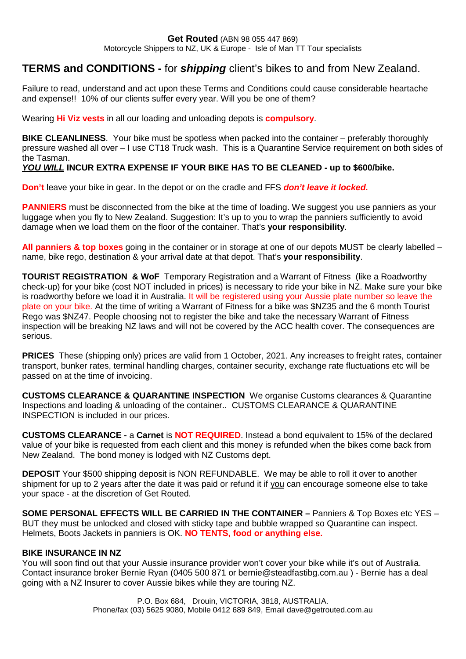#### **Get Routed** (ABN 98 055 447 869)

Motorcycle Shippers to NZ, UK & Europe - Isle of Man TT Tour specialists

### **TERMS and CONDITIONS -** for *shipping* client's bikes to and from New Zealand.

Failure to read, understand and act upon these Terms and Conditions could cause considerable heartache and expense!! 10% of our clients suffer every year. Will you be one of them?

Wearing **Hi Viz vests** in all our loading and unloading depots is **compulsory**.

**BIKE CLEANLINESS.** Your bike must be spotless when packed into the container – preferably thoroughly pressure washed all over – I use CT18 Truck wash. This is a Quarantine Service requirement on both sides of the Tasman.

#### *YOU WILL* **INCUR EXTRA EXPENSE IF YOUR BIKE HAS TO BE CLEANED - up to \$600/bike.**

**Don't** leave your bike in gear. In the depot or on the cradle and FFS *don't leave it locked.*

**PANNIERS** must be disconnected from the bike at the time of loading. We suggest you use panniers as your luggage when you fly to New Zealand. Suggestion: It's up to you to wrap the panniers sufficiently to avoid damage when we load them on the floor of the container. That's **your responsibility**.

**All panniers & top boxes** going in the container or in storage at one of our depots MUST be clearly labelled – name, bike rego, destination & your arrival date at that depot. That's **your responsibility**.

**TOURIST REGISTRATION & WoF** Temporary Registration and a Warrant of Fitness (like a Roadworthy check-up) for your bike (cost NOT included in prices) is necessary to ride your bike in NZ. Make sure your bike is roadworthy before we load it in Australia. It will be registered using your Aussie plate number so leave the plate on your bike. At the time of writing a Warrant of Fitness for a bike was \$NZ35 and the 6 month Tourist Rego was \$NZ47. People choosing not to register the bike and take the necessary Warrant of Fitness inspection will be breaking NZ laws and will not be covered by the ACC health cover. The consequences are serious.

**PRICES** These (shipping only) prices are valid from 1 October, 2021. Any increases to freight rates, container transport, bunker rates, terminal handling charges, container security, exchange rate fluctuations etc will be passed on at the time of invoicing.

**CUSTOMS CLEARANCE & QUARANTINE INSPECTION** We organise Customs clearances & Quarantine Inspections and loading & unloading of the container.. CUSTOMS CLEARANCE & QUARANTINE INSPECTION is included in our prices.

**CUSTOMS CLEARANCE -** a **Carnet** is **NOT REQUIRED**. Instead a bond equivalent to 15% of the declared value of your bike is requested from each client and this money is refunded when the bikes come back from New Zealand. The bond money is lodged with NZ Customs dept.

**DEPOSIT** Your \$500 shipping deposit is NON REFUNDABLE. We may be able to roll it over to another shipment for up to 2 years after the date it was paid or refund it if you can encourage someone else to take your space - at the discretion of Get Routed.

**SOME PERSONAL EFFECTS WILL BE CARRIED IN THE CONTAINER –** Panniers & Top Boxes etc YES – BUT they must be unlocked and closed with sticky tape and bubble wrapped so Quarantine can inspect. Helmets, Boots Jackets in panniers is OK. **NO TENTS, food or anything else.**

#### **BIKE INSURANCE IN NZ**

You will soon find out that your Aussie insurance provider won't cover your bike while it's out of Australia. Contact insurance broker Bernie Ryan (0405 500 871 or bernie@steadfastibg.com.au ) - Bernie has a deal going with a NZ Insurer to cover Aussie bikes while they are touring NZ.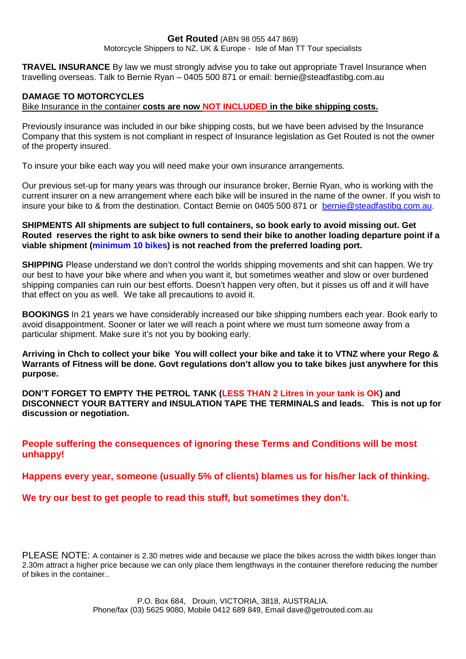#### **Get Routed** (ABN 98 055 447 869)

Motorcycle Shippers to NZ, UK & Europe - Isle of Man TT Tour specialists

**TRAVEL INSURANCE** By law we must strongly advise you to take out appropriate Travel Insurance when travelling overseas. Talk to Bernie Ryan – 0405 500 871 or email: bernie@steadfastibg.com.au

#### **DAMAGE TO MOTORCYCLES**

Bike Insurance in the container **costs are now NOT INCLUDED in the bike shipping costs.**

Previously insurance was included in our bike shipping costs, but we have been advised by the Insurance Company that this system is not compliant in respect of Insurance legislation as Get Routed is not the owner of the property insured.

To insure your bike each way you will need make your own insurance arrangements.

Our previous set-up for many years was through our insurance broker, Bernie Ryan, who is working with the current insurer on a new arrangement where each bike will be insured in the name of the owner. If you wish to insure your bike to & from the destination. Contact Bernie on 0405 500 871 or [bernie@steadfastibg.com.au](mailto:bernie@steadfastibg.com.au).

**SHIPMENTS All shipments are subject to full containers, so book early to avoid missing out. Get Routed reserves the right to ask bike owners to send their bike to another loading departure point if a viable shipment (minimum 10 bikes) is not reached from the preferred loading port.**

**SHIPPING** Please understand we don't control the worlds shipping movements and shit can happen. We try our best to have your bike where and when you want it, but sometimes weather and slow or over burdened shipping companies can ruin our best efforts. Doesn't happen very often, but it pisses us off and it will have that effect on you as well. We take all precautions to avoid it.

**BOOKINGS** In 21 years we have considerably increased our bike shipping numbers each year. Book early to avoid disappointment. Sooner or later we will reach a point where we must turn someone away from a particular shipment. Make sure it's not you by booking early.

**Arriving in Chch to collect your bike You will collect your bike and take it to VTNZ where your Rego & Warrants of Fitness will be done. Govt regulations don't allow you to take bikes just anywhere for this purpose.**

**DON'T FORGET TO EMPTY THE PETROL TANK (LESS THAN 2 Litres in your tank is OK) and DISCONNECT YOUR BATTERY and INSULATION TAPE THE TERMINALS and leads. This is not up for discussion or negotiation.**

**People suffering the consequences of ignoring these Terms and Conditions will be most unhappy!**

**Happens every year, someone (usually 5% of clients) blames us for his/her lack of thinking.**

**We try our best to get people to read this stuff, but sometimes they don't.**

PLEASE NOTE: A container is 2.30 metres wide and because we place the bikes across the width bikes longer than 2.30m attract a higher price because we can only place them lengthways in the container therefore reducing the number of bikes in the container..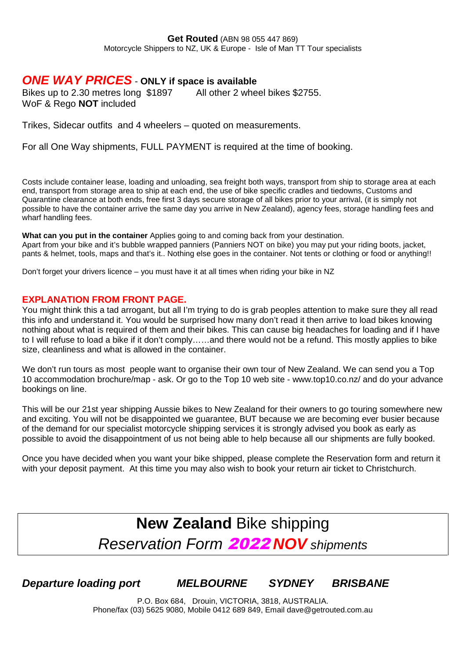### *ONE WAY PRICES* - **ONLY if space is available**

Bikes up to 2.30 metres long \$1897 All other 2 wheel bikes \$2755. WoF & Rego **NOT** included

Trikes, Sidecar outfits and 4 wheelers – quoted on measurements.

For all One Way shipments, FULL PAYMENT is required at the time of booking.

Costs include container lease, loading and unloading, sea freight both ways, transport from ship to storage area at each end, transport from storage area to ship at each end, the use of bike specific cradles and tiedowns, Customs and Quarantine clearance at both ends, free first 3 days secure storage of all bikes prior to your arrival, (it is simply not possible to have the container arrive the same day you arrive in New Zealand), agency fees, storage handling fees and wharf handling fees.

**What can you put in the container** Applies going to and coming back from your destination. Apart from your bike and it's bubble wrapped panniers (Panniers NOT on bike) you may put your riding boots, jacket, pants & helmet, tools, maps and that's it.. Nothing else goes in the container. Not tents or clothing or food or anything!!

Don't forget your drivers licence – you must have it at all times when riding your bike in NZ

#### **EXPLANATION FROM FRONT PAGE.**

You might think this a tad arrogant, but all I'm trying to do is grab peoples attention to make sure they all read this info and understand it. You would be surprised how many don't read it then arrive to load bikes knowing nothing about what is required of them and their bikes. This can cause big headaches for loading and if I have to I will refuse to load a bike if it don't comply……and there would not be a refund. This mostly applies to bike size, cleanliness and what is allowed in the container.

We don't run tours as most people want to organise their own tour of New Zealand. We can send you a Top 10 accommodation brochure/map - ask. Or go to the Top 10 web site - www.top10.co.nz/ and do your advance bookings on line.

This will be our 21st year shipping Aussie bikes to New Zealand for their owners to go touring somewhere new and exciting. You will not be disappointed we guarantee, BUT because we are becoming ever busier because of the demand for our specialist motorcycle shipping services it is strongly advised you book as early as possible to avoid the disappointment of us not being able to help because all our shipments are fully booked.

Once you have decided when you want your bike shipped, please complete the Reservation form and return it with your deposit payment. At this time you may also wish to book your return air ticket to Christchurch.

# **New Zealand** Bike shipping *Reservation Form* 2022 *NOV shipments*

*Departure loading port MELBOURNE SYDNEY BRISBANE*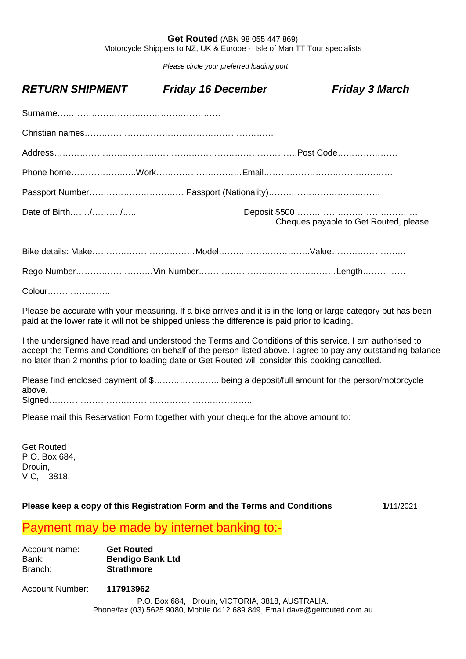#### **Get Routed** (ABN 98 055 447 869)

Motorcycle Shippers to NZ, UK & Europe - Isle of Man TT Tour specialists

*Please circle your preferred loading port*

| <b>RETURN SHIPMENT</b>                                                                                                                                                                                                                                                                                                      | <b>Friday 16 December</b> | <b>Friday 3 March</b>                  |
|-----------------------------------------------------------------------------------------------------------------------------------------------------------------------------------------------------------------------------------------------------------------------------------------------------------------------------|---------------------------|----------------------------------------|
|                                                                                                                                                                                                                                                                                                                             |                           |                                        |
|                                                                                                                                                                                                                                                                                                                             |                           |                                        |
|                                                                                                                                                                                                                                                                                                                             |                           |                                        |
|                                                                                                                                                                                                                                                                                                                             |                           |                                        |
|                                                                                                                                                                                                                                                                                                                             |                           |                                        |
| Date of Birth//                                                                                                                                                                                                                                                                                                             |                           | Cheques payable to Get Routed, please. |
|                                                                                                                                                                                                                                                                                                                             |                           |                                        |
|                                                                                                                                                                                                                                                                                                                             |                           |                                        |
| Colour                                                                                                                                                                                                                                                                                                                      |                           |                                        |
| Please be accurate with your measuring. If a bike arrives and it is in the long or large category but has been<br>paid at the lower rate it will not be shipped unless the difference is paid prior to loading.                                                                                                             |                           |                                        |
| I the undersigned have read and understood the Terms and Conditions of this service. I am authorised to<br>accept the Terms and Conditions on behalf of the person listed above. I agree to pay any outstanding balance<br>no later than 2 months prior to loading date or Get Routed will consider this booking cancelled. |                           |                                        |
| Please find enclosed payment of \$ being a deposit/full amount for the person/motorcycle<br>above.                                                                                                                                                                                                                          |                           |                                        |

Signed……………………………………………………………..

Please mail this Reservation Form together with your cheque for the above amount to:

Get Routed P.O. Box 684, Drouin, VIC, 3818.

#### **Please keep a copy of this Registration Form and the Terms and Conditions 1**/11/2021

### Payment may be made by internet banking to:-

Account name: **Get Routed** Bank: **Bendigo Bank Ltd** Branch: **Strathmore**

Account Number: **117913962**